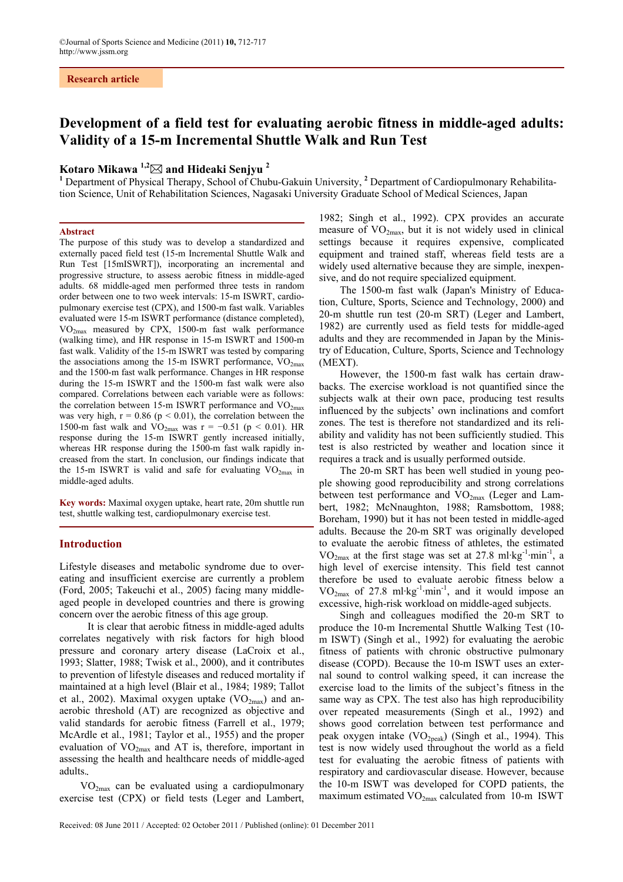# **Development of a field test for evaluating aerobic fitness in middle-aged adults: Validity of a 15-m Incremental Shuttle Walk and Run Test**

# **Kotaro Mikawa 1,2 and Hideaki Senjyu <sup>2</sup> 1**

 Department of Physical Therapy, School of Chubu-Gakuin University, **<sup>2</sup>** Department of Cardiopulmonary Rehabilitation Science, Unit of Rehabilitation Sciences, Nagasaki University Graduate School of Medical Sciences, Japan

#### **Abstract**

The purpose of this study was to develop a standardized and externally paced field test (15-m Incremental Shuttle Walk and Run Test [15mISWRT]), incorporating an incremental and progressive structure, to assess aerobic fitness in middle-aged adults. 68 middle-aged men performed three tests in random order between one to two week intervals: 15-m ISWRT, cardiopulmonary exercise test (CPX), and 1500-m fast walk. Variables evaluated were 15-m ISWRT performance (distance completed), VO2max measured by CPX, 1500-m fast walk performance (walking time), and HR response in 15-m ISWRT and 1500-m fast walk. Validity of the 15-m ISWRT was tested by comparing the associations among the 15-m ISWRT performance,  $\rm{VO_{2max}}$ and the 1500-m fast walk performance. Changes in HR response during the 15-m ISWRT and the 1500-m fast walk were also compared. Correlations between each variable were as follows: the correlation between 15-m ISWRT performance and  $VO<sub>2max</sub>$ </sub> was very high,  $r = 0.86$  ( $p < 0.01$ ), the correlation between the 1500-m fast walk and  $VO_{2max}$  was r = −0.51 (p < 0.01). HR response during the 15-m ISWRT gently increased initially, whereas HR response during the 1500-m fast walk rapidly increased from the start. In conclusion, our findings indicate that the 15-m ISWRT is valid and safe for evaluating  $VO_{2max}$  in middle-aged adults.

**Key words:** Maximal oxygen uptake, heart rate, 20m shuttle run test, shuttle walking test, cardiopulmonary exercise test.

# **Introduction**

Lifestyle diseases and metabolic syndrome due to overeating and insufficient exercise are currently a problem (Ford, 2005; Takeuchi et al., 2005) facing many middleaged people in developed countries and there is growing concern over the aerobic fitness of this age group.

It is clear that aerobic fitness in middle-aged adults correlates negatively with risk factors for high blood pressure and coronary artery disease (LaCroix et al., 1993; Slatter, 1988; Twisk et al., 2000), and it contributes to prevention of lifestyle diseases and reduced mortality if maintained at a high level (Blair et al., 1984; 1989; Tallot et al., 2002). Maximal oxygen uptake  $(VO_{2max})$  and anaerobic threshold (AT) are recognized as objective and valid standards for aerobic fitness (Farrell et al., 1979; McArdle et al., 1981; Taylor et al., 1955) and the proper evaluation of  $VO<sub>2max</sub>$  and AT is, therefore, important in assessing the health and healthcare needs of middle-aged adults. .

V O2max can be evaluated using a cardiopulmonary exercise test (CPX) or field tests (Leger and Lambert,

1982; Singh et al., 1992). CPX provides an accurate measure of  $VO<sub>2max</sub>$ , but it is not widely used in clinical settings because it requires expensive, complicated equipment and trained staff, whereas field tests are a widely used alternative because they are simple, inexpensive, and do not require specialized equipment.

The 1500-m fast walk (Japan's Ministry of Education, Culture, Sports, Science and Technology, 2000) and 20-m shuttle run test (20-m SRT) (Leger and Lambert, 1982) are currently used as field tests for middle-aged adults and they are recommended in Japan by the Ministry of Education, Culture, Sports, Science and Technology (MEXT).

However, the 1500-m fast walk has certain drawbacks. The exercise workload is not quantified since the subjects walk at their own pace, producing test results influenced by the subjects' own inclinations and comfort zones. The test is therefore not standardized and its reliability and validity has not been sufficiently studied. This test is also restricted by weather and location since it requires a track and is usually performed outside.

The 20-m SRT has been well studied in young people showing good reproducibility and strong correlations between test performance and  $VO_{2max}$  (Leger and Lambert, 1982; McNnaughton, 1988; Ramsbottom, 1988; Boreham, 1990) but it has not been tested in middle-aged adults. Because the 20-m SRT was originally developed to evaluate the aerobic fitness of athletes, the estimated  $VO<sub>2max</sub>$  at the first stage was set at 27.8 ml·kg<sup>-1</sup>·min<sup>-1</sup>, a high level of exercise intensity. This field test cannot therefore be used to evaluate aerobic fitness below a  $VO<sub>2max</sub>$  of 27.8 ml·kg<sup>-1</sup>·min<sup>-1</sup>, and it would impose an excessive, high-risk workload on middle-aged subjects.

Singh and colleagues modified the 20-m SRT to produce the 10-m Incremental Shuttle Walking Test (10 m ISWT) (Singh et al., 1992) for evaluating the aerobic fitness of patients with chronic obstructive pulmonary disease (COPD). Because the 10-m ISWT uses an external sound to control walking speed, it can increase the exercise load to the limits of the subject's fitness in the same way as CPX. The test also has high reproducibility over repeated measurements (Singh et al., 1992) and shows good correlation between test performance and peak oxygen intake  $(VO_{2peak})$  (Singh et al., 1994). This test is now widely used throughout the world as a field test for evaluating the aerobic fitness of patients with respiratory and cardiovascular disease. However, because the 10-m ISWT was developed for COPD patients, the maximum estimated  $VO<sub>2max</sub>$  calculated from 10-m ISWT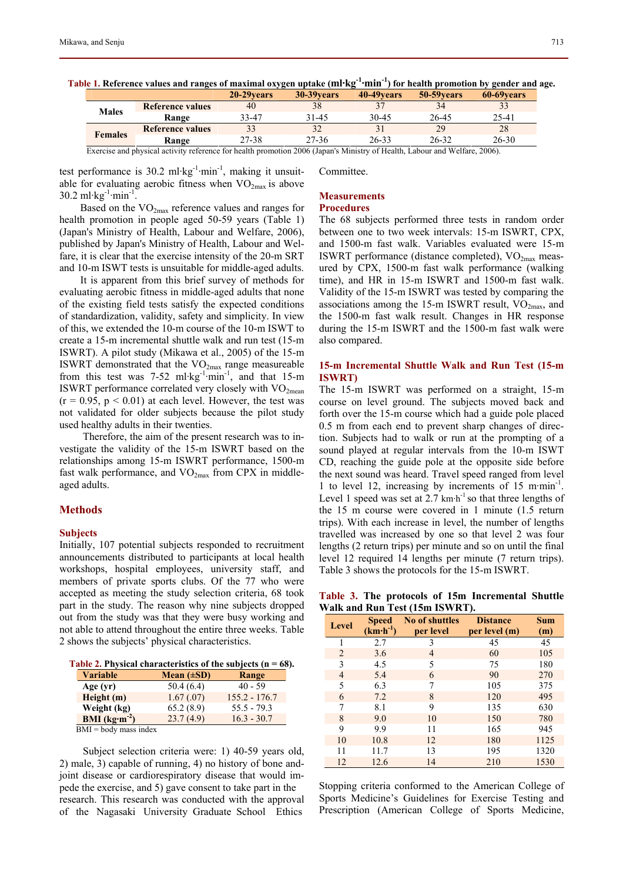| ------         |                         |             |             |             |             |             |
|----------------|-------------------------|-------------|-------------|-------------|-------------|-------------|
|                |                         | 20-29 vears | 30-39 vears | 40-49 vears | 50-59 vears | 60-69 vears |
| <b>Males</b>   | <b>Reference values</b> | 40          |             |             |             |             |
|                | Range                   | 33-47       | 31-45       | 30-45       | 26-45       | 25-41       |
| <b>Females</b> | <b>Reference values</b> |             |             |             | 29          | 28          |
|                | Range                   | 27-38       | 27-36       | $26 - 33$   | $26 - 32$   | $26 - 30$   |
|                | $\sim$                  | .<br>__     | ------<br>. | --- -- - -  | --------    | ----        |

**Table 1. Reference values and ranges of maximal oxygen uptake (ml·kg-1·min-1) for health promotion by gender and age.** 

Exercise and physical activity reference for health promotion 2006 (Japan's Ministry of Health, Labour and Welfare, 2006).

test performance is 30.2 ml·kg<sup>-1</sup>·min<sup>-1</sup>, making it unsuitable for evaluating aerobic fitness when  $VO_{2max}$  is above  $30.2 \text{ ml·kg}^{-1}$ ·min<sup>-1</sup>.

Based on the  $VO<sub>2max</sub>$  reference values and ranges for health promotion in people aged 50-59 years (Table 1) (Japan's Ministry of Health, Labour and Welfare, 2006), published by Japan's Ministry of Health, Labour and Welfare, it is clear that the exercise intensity of the 20-m SRT and 10-m ISWT tests is unsuitable for middle-aged adults.

It is apparent from this brief survey of methods for evaluating aerobic fitness in middle-aged adults that none of the existing field tests satisfy the expected conditions of standardization, validity, safety and simplicity. In view of this, we extended the 10-m course of the 10-m ISWT to create a 15-m incremental shuttle walk and run test (15-m ISWRT). A pilot study (Mikawa et al., 2005) of the 15-m ISWRT demonstrated that the  $VO<sub>2max</sub>$  range measureable from this test was  $7-52$  ml·kg<sup>-1</sup>·min<sup>-1</sup>, and that 15-m ISWRT performance correlated very closely with  $VO<sub>2mean</sub>$  $(r = 0.95, p < 0.01)$  at each level. However, the test was not validated for older subjects because the pilot study used healthy adults in their twenties.

Therefore, the aim of the present research was to investigate the validity of the 15-m ISWRT based on the relationships among 15-m ISWRT performance, 1500-m fast walk performance, and  $VO_{2max}$  from CPX in middleaged adults.

#### **Methods**

#### **Subjects**

Initially, 107 potential subjects responded to recruitment announcements distributed to participants at local health workshops, hospital employees, university staff, and members of private sports clubs. Of the 77 who were accepted as meeting the study selection criteria, 68 took part in the study. The reason why nine subjects dropped out from the study was that they were busy working and not able to attend throughout the entire three weeks. Table 2 shows the subjects' physical characteristics.

**Table 2. Physical characteristics of the subjects (n = 68).** 

| <b>Variable</b>         | Mean $(\pm SD)$ | Range           |
|-------------------------|-----------------|-----------------|
| Age $(yr)$              | 50.4(6.4)       | $40 - 59$       |
| Height(m)               | 1.67(0.07)      | $155.2 - 176.7$ |
| Weight (kg)             | 65.2(8.9)       | $55.5 - 79.3$   |
| BMI $(kg·m-2)$          | 23.7(4.9)       | $16.3 - 30.7$   |
| $BMI = body$ mass index |                 |                 |

Subject selection criteria were: 1) 40-59 years old, 2) male, 3) capable of running, 4) no history of bone andjoint disease or cardiorespiratory disease that would impede the exercise, and 5) gave consent to take part in the research. This research was conducted with the approval of the Nagasaki University Graduate School Ethics

Committee.

# **Measurements**

# **Procedures**

The 68 subjects performed three tests in random order between one to two week intervals: 15-m ISWRT, CPX, and 1500-m fast walk. Variables evaluated were 15-m ISWRT performance (distance completed),  $VO<sub>2max</sub>$  measured by CPX, 1500-m fast walk performance (walking time), and HR in 15-m ISWRT and 1500-m fast walk. Validity of the 15-m ISWRT was tested by comparing the associations among the 15-m ISWRT result,  $VO<sub>2max</sub>$ , and the 1500-m fast walk result. Changes in HR response during the 15-m ISWRT and the 1500-m fast walk were also compared.

# **15-m Incremental Shuttle Walk and Run Test (15-m ISWRT)**

The 15-m ISWRT was performed on a straight, 15-m course on level ground. The subjects moved back and forth over the 15-m course which had a guide pole placed 0.5 m from each end to prevent sharp changes of direction. Subjects had to walk or run at the prompting of a sound played at regular intervals from the 10-m ISWT CD, reaching the guide pole at the opposite side before the next sound was heard. Travel speed ranged from level 1 to level 12, increasing by increments of 15 m·min-1. Level 1 speed was set at 2.7 km·h<sup>-1</sup> so that three lengths of the 15 m course were covered in 1 minute (1.5 return trips). With each increase in level, the number of lengths travelled was increased by one so that level 2 was four lengths (2 return trips) per minute and so on until the final level 12 required 14 lengths per minute (7 return trips). Table 3 shows the protocols for the 15-m ISWRT.

**Table 3. The protocols of 15m Incremental Shuttle Walk and Run Test (15m ISWRT).** 

| Level | <b>Speed</b><br>$(km\cdot h^{-1})$ | <b>No of shuttles</b><br>per level | <b>Distance</b><br>per level (m) | <b>Sum</b><br>(m) |  |  |  |  |
|-------|------------------------------------|------------------------------------|----------------------------------|-------------------|--|--|--|--|
|       | 2.7                                | 3                                  | 45                               | 45                |  |  |  |  |
| 2     | 3.6                                | 4                                  | 60                               | 105               |  |  |  |  |
| 3     | 4.5                                | 5                                  | 75                               | 180               |  |  |  |  |
| 4     | 5.4                                | 6                                  | 90                               | 270               |  |  |  |  |
| 5     | 6.3                                | 7                                  | 105                              | 375               |  |  |  |  |
| 6     | 7.2                                | 8                                  | 120                              | 495               |  |  |  |  |
| 7     | 8.1                                | 9                                  | 135                              | 630               |  |  |  |  |
| 8     | 9.0                                | 10                                 | 150                              | 780               |  |  |  |  |
| 9     | 9.9                                | 11                                 | 165                              | 945               |  |  |  |  |
| 10    | 10.8                               | 12                                 | 180                              | 1125              |  |  |  |  |
| 11    | 11.7                               | 13                                 | 195                              | 1320              |  |  |  |  |
| 12    | 12.6                               | 14                                 | 210                              | 1530              |  |  |  |  |

Stopping criteria conformed to the American College of Sports Medicine's Guidelines for Exercise Testing and Prescription (American College of Sports Medicine,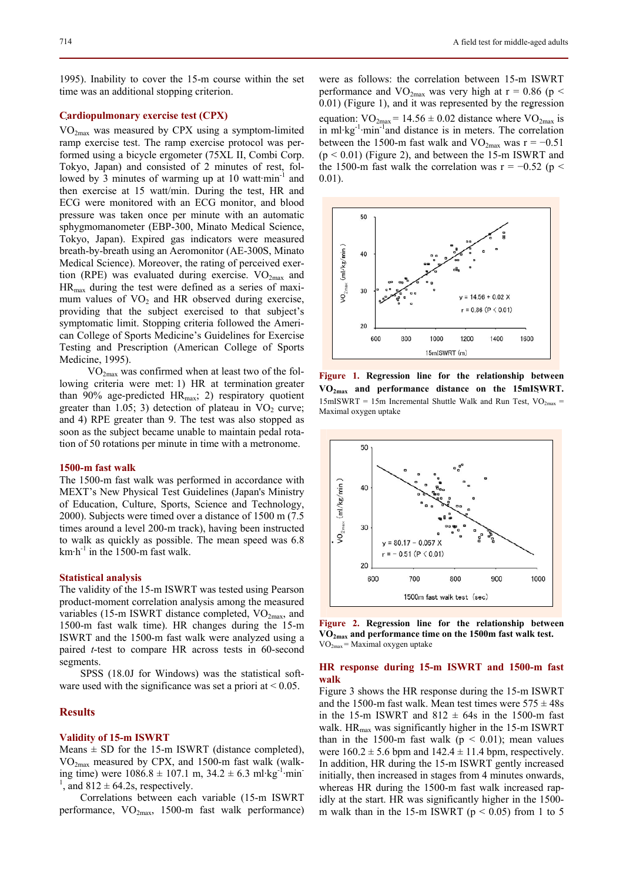# **Cardiopulmonary exercise test (CPX)**  .

V O2max was measured by CPX using a symptom-limited ramp exercise test. The ramp exercise protocol was performed using a bicycle ergometer (75XL II, Combi Corp. Tokyo, Japan) and consisted of 2 minutes of rest, followed by 3 minutes of warming up at 10 watt $\cdot$ min<sup>-1</sup> and then exercise at 15 watt/min. During the test, HR and ECG were monitored with an ECG monitor, and blood pressure was taken once per minute with an automatic sphygmomanometer (EBP-300, Minato Medical Science, Tokyo, Japan). Expired gas indicators were measured breath-by-breath using an Aeromonitor (AE-300S, Minato Medical Science). Moreover, the rating of perceived exertion (RPE) was evaluated during exercise.  $VO_{2max}$  and  $HR_{\text{max}}$  during the test were defined as a series of maximum values of  $VO<sub>2</sub>$  and HR observed during exercise, providing that the subject exercised to that subject's symptomatic limit. Stopping criteria followed the American College of Sports Medicine's Guidelines for Exercise Testing and Prescription (American College of Sports Medicine, 1995).

VO2max was confirmed when at least two of the following criteria were met: 1) HR at termination greater than 90% age-predicted  $HR_{max}$ ; 2) respiratory quotient greater than  $1.05$ ; 3) detection of plateau in  $VO<sub>2</sub>$  curve; and 4) RPE greater than 9. The test was also stopped as soon as the subject became unable to maintain pedal rotation of 50 rotations per minute in time with a metronome.

#### **1500-m fast walk**

The 1500-m fast walk was performed in accordance with MEXT's New Physical Test Guidelines (Japan's Ministry of Education, Culture, Sports, Science and Technology, 2000). Subjects were timed over a distance of 1500 m (7.5 times around a level 200-m track), having been instructed to walk as quickly as possible. The mean speed was 6.8 km $\cdot$ h<sup>-1</sup> in the 1500-m fast walk.

#### **Statistical analysis**

The validity of the 15-m ISWRT was tested using Pearson product-moment correlation analysis among the measured variables (15-m ISWRT distance completed,  $VO<sub>2max</sub>$ , and 1500-m fast walk time). HR changes during the 15-m ISWRT and the 1500-m fast walk were analyzed using a paired *t*-test to compare HR across tests in 60-second segments.

SPSS (18.0J for Windows) was the statistical software used with the significance was set a priori at  $< 0.05$ .

## **Results**

#### **Validity of 15-m ISWRT**

Means  $\pm$  SD for the 15-m ISWRT (distance completed), VO2max measured by CPX, and 1500-m fast walk (walking time) were  $1086.8 \pm 107.1$  m,  $34.2 \pm 6.3$  ml·kg<sup>-1</sup>·min-<sup>1</sup>, and  $812 \pm 64.2$ s, respectively.

Correlations between each variable (15-m ISWRT performance,  $VO_{2max}$ , 1500-m fast walk performance)

were as follows: the correlation between 15-m ISWRT performance and VO<sub>2max</sub> was very high at  $r = 0.86$  (p < 0.01) (Figure 1), and it was represented by the regression . equation:  $VO_{2max} = 14.56 \pm 0.02$  distance where  $VO_{2max}$  is in ml·kg-1·min-1and distance is in meters. The correlation between the 1500-m fast walk and  $VO_{2max}$  was r = −0.51  $(p < 0.01)$  (Figure 2), and between the 15-m ISWRT and the 1500-m fast walk the correlation was  $r = -0.52$  (p < 0.01).



**Figure 1. Regression line for the relationship between**  . **V O2max and performance distance on the 15mISWRT.** .  $15mISWRT = 15m$  Incremental Shuttle Walk and Run Test,  $VO_{2max} =$ Maximal oxygen uptake



**Figure 2. Regression line for the relationship between VO2max and performance time on the 1500m fast walk test.**   $VO<sub>2max</sub> = Maximal oxygen uptake$ 

# **HR response during 15-m ISWRT and 1500-m fast walk**

Figure 3 shows the HR response during the 15-m ISWRT and the 1500-m fast walk. Mean test times were  $575 \pm 48s$ in the 15-m ISWRT and  $812 \pm 64s$  in the 1500-m fast walk.  $HR_{max}$  was significantly higher in the 15-m ISWRT than in the 1500-m fast walk ( $p < 0.01$ ); mean values were  $160.2 \pm 5.6$  bpm and  $142.4 \pm 11.4$  bpm, respectively. In addition, HR during the 15-m ISWRT gently increased initially, then increased in stages from 4 minutes onwards, whereas HR during the 1500-m fast walk increased rapidly at the start. HR was significantly higher in the 1500 m walk than in the 15-m ISWRT ( $p < 0.05$ ) from 1 to 5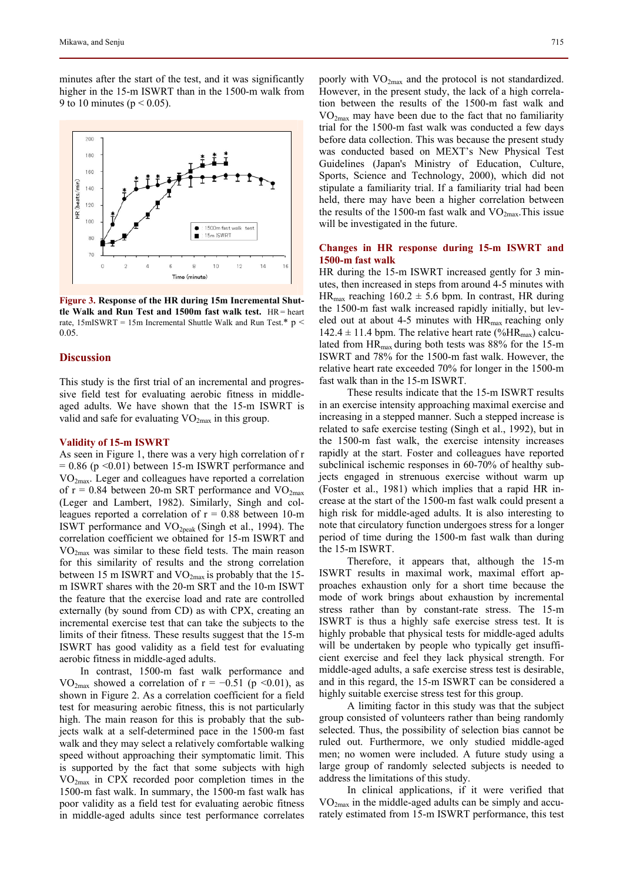minutes after the start of the test, and it was significantly higher in the 15-m ISWRT than in the 1500-m walk from 9 to 10 minutes ( $p < 0.05$ ).



**Figure 3. Response of the HR during 15m Incremental Shuttle Walk and Run Test and 1500m fast walk test.** HR= heart rate, 15mISWRT = 15m Incremental Shuttle Walk and Run Test.\*  $p$  < 0.05.

#### **Discussion**

This study is the first trial of an incremental and progressive field test for evaluating aerobic fitness in middleaged adults. We have shown that the 15-m ISWRT is valid and safe for evaluating VO<sub>2max</sub> in this group.

#### **Validity of 15-m ISWRT**

As seen in Figure 1, there was a very high correlation of r  $= 0.86$  (p < 0.01) between 15-m ISWRT performance and  $VO<sub>2max</sub>$ . Leger and colleagues have reported a correlation of  $r = 0.84$  between 20-m SRT performance and  $VO<sub>2max</sub>$ (Leger and Lambert, 1982). Similarly, Singh and colleagues reported a correlation of  $r = 0.88$  between 10-m ISWT performance and  $VO<sub>2peak</sub>$  (Singh et al., 1994). The correlation coefficient we obtained for 15-m ISWRT and  $VO<sub>2max</sub>$  was similar to these field tests. The main reason for this similarity of results and the strong correlation between 15 m ISWRT and  $VO_{2max}$  is probably that the 15m ISWRT shares with the 20-m SRT and the 10-m ISWT the feature that the exercise load and rate are controlled externally (by sound from CD) as with CPX, creating an incremental exercise test that can take the subjects to the limits of their fitness. These results suggest that the 15-m ISWRT has good validity as a field test for evaluating aerobic fitness in middle-aged adults.

In contrast, 1500-m fast walk performance and VO<sub>2max</sub> showed a correlation of  $r = -0.51$  (p <0.01), as shown in Figure 2. As a correlation coefficient for a field test for measuring aerobic fitness, this is not particularly high. The main reason for this is probably that the subjects walk at a self-determined pace in the 1500-m fast walk and they may select a relatively comfortable walking speed without approaching their symptomatic limit. This is supported by the fact that some subjects with high VO2max in CPX recorded poor completion times in the 1500-m fast walk. In summary, the 1500-m fast walk has poor validity as a field test for evaluating aerobic fitness in middle-aged adults since test performance correlates poorly with VO2max and the protocol is not standardized. However, in the present study, the lack of a high correlation between the results of the 1500-m fast walk and  $VO<sub>2max</sub>$  may have been due to the fact that no familiarity trial for the 1500-m fast walk was conducted a few days before data collection. This was because the present study was conducted based on MEXT's New Physical Test Guidelines (Japan's Ministry of Education, Culture, Sports, Science and Technology, 2000), which did not stipulate a familiarity trial. If a familiarity trial had been held, there may have been a higher correlation between the results of the 1500-m fast walk and  $VO_{2max}$ . This issue will be investigated in the future.

# **Changes in HR response during 15-m ISWRT and 1500-m fast walk**

HR during the 15-m ISWRT increased gently for 3 minutes, then increased in steps from around 4-5 minutes with  $HR_{max}$  reaching  $160.2 \pm 5.6$  bpm. In contrast, HR during the 1500-m fast walk increased rapidly initially, but leveled out at about 4-5 minutes with  $HR<sub>max</sub>$  reaching only  $142.4 \pm 11.4$  bpm. The relative heart rate (%HR<sub>max</sub>) calculated from HRmax during both tests was 88% for the 15-m ISWRT and 78% for the 1500-m fast walk. However, the relative heart rate exceeded 70% for longer in the 1500-m fast walk than in the 15-m ISWRT.

These results indicate that the 15-m ISWRT results in an exercise intensity approaching maximal exercise and increasing in a stepped manner. Such a stepped increase is related to safe exercise testing (Singh et al., 1992), but in the 1500-m fast walk, the exercise intensity increases rapidly at the start. Foster and colleagues have reported subclinical ischemic responses in 60-70% of healthy subjects engaged in strenuous exercise without warm up (Foster et al., 1981) which implies that a rapid HR increase at the start of the 1500-m fast walk could present a high risk for middle-aged adults. It is also interesting to note that circulatory function undergoes stress for a longer period of time during the 1500-m fast walk than during the 15-m ISWRT.

Therefore, it appears that, although the 15-m ISWRT results in maximal work, maximal effort approaches exhaustion only for a short time because the mode of work brings about exhaustion by incremental stress rather than by constant-rate stress. The 15-m ISWRT is thus a highly safe exercise stress test. It is highly probable that physical tests for middle-aged adults will be undertaken by people who typically get insufficient exercise and feel they lack physical strength. For middle-aged adults, a safe exercise stress test is desirable, and in this regard, the 15-m ISWRT can be considered a highly suitable exercise stress test for this group.

A limiting factor in this study was that the subject group consisted of volunteers rather than being randomly selected. Thus, the possibility of selection bias cannot be ruled out. Furthermore, we only studied middle-aged men; no women were included. A future study using a large group of randomly selected subjects is needed to address the limitations of this study.

In clinical applications, if it were verified that  $VO<sub>2max</sub>$  in the middle-aged adults can be simply and accurately estimated from 15-m ISWRT performance, this test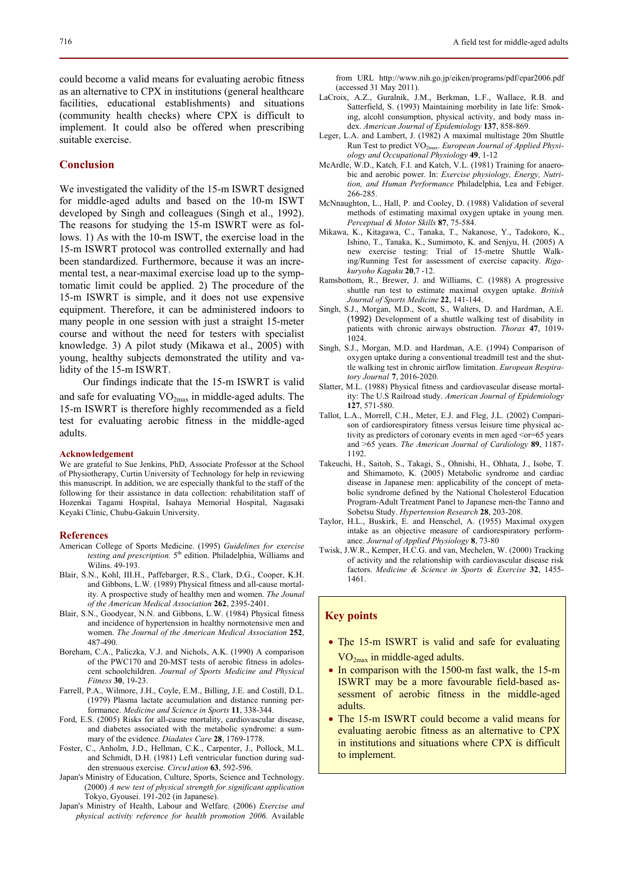could become a valid means for evaluating aerobic fitness as an alternative to CPX in institutions (general healthcare facilities, educational establishments) and situations (community health checks) where CPX is difficult to implement. It could also be offered when prescribing suitable exercise.

## **Conclusion**

We investigated the validity of the 15-m ISWRT designed for middle-aged adults and based on the 10-m ISWT developed by Singh and colleagues (Singh et al., 1992). The reasons for studying the 15-m ISWRT were as follows. 1) As with the 10-m ISWT, the exercise load in the 15-m ISWRT protocol was controlled externally and had been standardized. Furthermore, because it was an incremental test, a near-maximal exercise load up to the symptomatic limit could be applied. 2) The procedure of the 15-m ISWRT is simple, and it does not use expensive equipment. Therefore, it can be administered indoors to many people in one session with just a straight 15-meter course and without the need for testers with specialist knowledge. 3) A pilot study (Mikawa et al., 2005) with young, healthy subjects demonstrated the utility and validity of the 15-m ISWRT.

Our findings indicate that the 15-m ISWRT is valid .

and safe for evaluating  $VO_{2max}$  in middle-aged adults. The 15-m ISWRT is therefore highly recommended as a field test for evaluating aerobic fitness in the middle-aged adults.

#### **Acknowledgement**

We are grateful to Sue Jenkins, PhD, Associate Professor at the School of Physiotherapy, Curtin University of Technology for help in reviewing this manuscript. In addition, we are especially thankful to the staff of the following for their assistance in data collection: rehabilitation staff of Hozenkai Tagami Hospital, Isahaya Memorial Hospital, Nagasaki Keyaki Clinic, Chubu-Gakuin University.

#### **References**

- American College of Sports Medicine. (1995) *Guidelines for exercise*  testing and prescription. 5<sup>th</sup> edition. Philadelphia, Williams and Wilins. 49-193.
- Blair, S.N., Kohl, III.H., Paffebarger, R.S., Clark, D.G., Cooper, K.H. and Gibbons, L.W. (1989) Physical fitness and all-cause mortality. A prospective study of healthy men and women. *The Jounal of the American Medical Association* **262**, 2395-2401.
- Blair, S.N., Goodyear, N.N. and Gibbons, L.W. (1984) Physical fitness and incidence of hypertension in healthy normotensive men and women. *The Journal of the American Medical Association* **252**, 487-490.
- Boreham, C.A., Paliczka, V.J. and Nichols, A.K. (1990) A comparison of the PWC170 and 20-MST tests of aerobic fitness in adolescent schoolchildren. *Journal of Sports Medicine and Physical Fitness* **30**, 19-23.
- Farrell, P.A., Wilmore, J.H., Coyle, E.M., Billing, J.E. and Costill, D.L. (1979) Plasma lactate accumulation and distance running performance. *Medicine and Science in Sports* **11**, 338-344.
- Ford, E.S. (2005) Risks for all-cause mortality, cardiovascular disease, and diabetes associated with the metabolic syndrome: a summary of the evidence. *Diadates Care* **28**, 1769-1778.
- Foster, C., Anholm, J.D., Hellman, C.K., Carpenter, J., Pollock, M.L. and Schmidt, D.H. (1981) Left ventricular function during sudden strenuous exercise. *Circu1ation* **63**, 592-596.
- Japan's Ministry of Education, Culture, Sports, Science and Technology. (2000) *A new test of physical strength for significant application* Tokyo, Gyousei. 191-202 (in Japanese).
- Japan's Ministry of Health, Labour and Welfare. (2006) *Exercise and physical activity reference for health promotion 2006*. Available

from URL http://www.nih.go.jp/eiken/programs/pdf/epar2006.pdf (accessed 31 May 2011).

- LaCroix, A.Z., Guralnik, J.M., Berkman, L.F., Wallace, R.B. and Satterfield, S. (1993) Maintaining morbility in late life: Smoking, alcohl consumption, physical activity, and body mass index. *American Journal of Epidemiology* **137**, 858-869.
- Leger, L.A. and Lambert, J. (1982) A maximal multistage 20m Shuttle Run Test to predict VO2max. *European Journal of Applied Physiology and Occupational Physiology* **49**, 1-12
- McArdle, W.D., Katch*,* F.I. and Katch, V.L. (1981) Training for anaerobic and aerobic power. In: *Exercise physiology, Energy, Nutrition, and Human Performance* Philadelphia, Lea and Febiger. 266-285.
- McNnaughton, L., Hall, P. and Cooley, D. (1988) Validation of several methods of estimating maximal oxygen uptake in young men. *Perceptual & Motor Skills* **87**, 75-584.
- Mikawa, K., Kitagawa, C., Tanaka, T., Nakanose, Y., Tadokoro, K., Ishino, T., Tanaka, K., Sumimoto, K. and Senjyu, H. (2005) A new exercise testing: Trial of 15-metre Shuttle Walking/Running Test for assessment of exercise capacity. *Rigakuryoho Kagaku* **20**,7 -12.
- Ramsbottom, R., Brewer, J. and Williams, C. (1988) A progressive shuttle run test to estimate maximal oxygen uptake. *British Journal of Sports Medicine* **22**, 141-144.
- Singh, S.J., Morgan, M.D., Scott, S., Walters, D. and Hardman, A.E. (1992) Development of a shuttle walking test of disability in patients with chronic airways obstruction. *Thorax* **47**, 1019-  $1024$
- Singh, S.J., Morgan, M.D. and Hardman, A.E. (1994) Comparison of oxygen uptake during a conventional treadmill test and the shuttle walking test in chronic airflow limitation. *European Respiratory Journal* **7**, 2016-2020.
- Slatter, M.L. (1988) Physical fitness and cardiovascular disease mortality: The U.S Railroad study. *American Journal of Epidemiology*  **127**, 571-580.
- Tallot, L.A., Morrell, C.H., Meter, E.J. and Fleg, J.L. (2002) Comparison of cardiorespiratory fitness versus leisure time physical activity as predictors of coronary events in men aged <or=65 years and >65 years. *The American Journal of Cardiology* **89**, 1187- 1192.
- Takeuchi, H., Saitoh, S., Takagi, S., Ohnishi, H., Ohhata, J., Isobe, T. and Shimamoto, K. (2005) Metabolic syndrome and cardiac disease in Japanese men: applicability of the concept of metabolic syndrome defined by the National Cholesterol Education Program-Adult Treatment Panel to Japanese men-the Tanno and Sobetsu Study. *Hypertension Research* **28**, 203-208.
- Taylor, H.L., Buskirk, E. and Henschel, A. (1955) Maximal oxygen intake as an objective measure of cardiorespiratory performance. *Journal of Applied Physiology* **8**, 73-80
- Twisk, J.W.R., Kemper, H.C.G. and van, Mechelen, W. (2000) Tracking of activity and the relationship with cardiovascular disease risk factors. *Medicine & Science in Sports & Exercise* **32**, 1455- 1461.

# **Key points**

- The 15-m ISWRT is valid and safe for evaluating V O2max in middle-aged adults.
- In comparison with the 1500-m fast walk, the 15-m ISWRT may be a more favourable field-based assessment of aerobic fitness in the middle-aged adults.
- The 15-m ISWRT could become a valid means for evaluating aerobic fitness as an alternative to CPX in institutions and situations where CPX is difficult to implement.